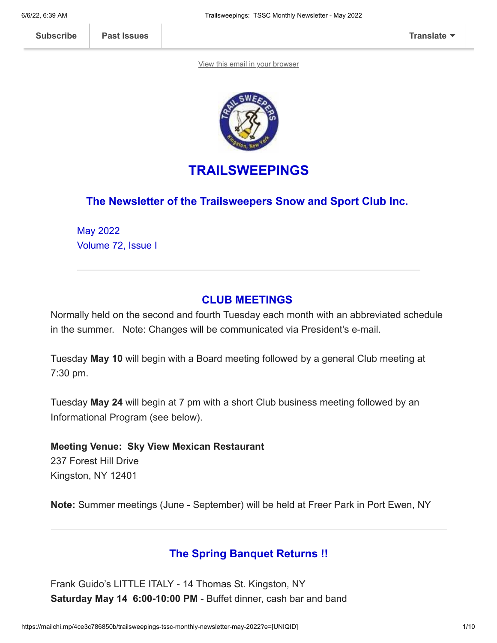[View this email in your browser](https://mailchi.mp/4ce3c786850b/trailsweepings-tssc-monthly-newsletter-may-2022?e=[UNIQID])



# **TRAILSWEEPINGS**

### **The Newsletter of the Trailsweepers Snow and Sport Club Inc.**

May 2022 Volume 72, Issue I

### **CLUB MEETINGS**

Normally held on the second and fourth Tuesday each month with an abbreviated schedule in the summer. Note: Changes will be communicated via President's e-mail.

Tuesday **May 10** will begin with a Board meeting followed by a general Club meeting at 7:30 pm.

Tuesday **May 24** will begin at 7 pm with a short Club business meeting followed by an Informational Program (see below).

**Meeting Venue: Sky View Mexican Restaurant** 237 Forest Hill Drive Kingston, NY 12401

**Note:** Summer meetings (June - September) will be held at Freer Park in Port Ewen, NY

### **The Spring Banquet Returns !!**

Frank Guido's LITTLE ITALY - 14 Thomas St. Kingston, NY **Saturday May 14 6:00-10:00 PM** - Buffet dinner, cash bar and band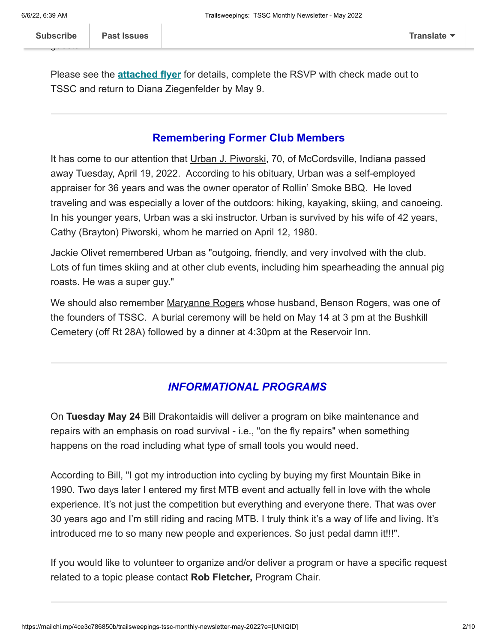$\mathbf{g}$ 

Please see the **[attached flyer](https://mcusercontent.com/12dc0f31cf0de42e0801b3e21/files/4f8afb8a-b001-a5e8-04e1-d9fd84053a64/TSSC_SpringBanquet.pdf)** for details, complete the RSVP with check made out to TSSC and return to Diana Ziegenfelder by May 9.

#### **Remembering Former Club Members**

It has come to our attention that Urban J. Piworski, 70, of McCordsville, Indiana passed away Tuesday, April 19, 2022. According to his obituary, Urban was a self-employed appraiser for 36 years and was the owner operator of Rollin' Smoke BBQ. He loved traveling and was especially a lover of the outdoors: hiking, kayaking, skiing, and canoeing. In his younger years, Urban was a ski instructor. Urban is survived by his wife of 42 years, Cathy (Brayton) Piworski, whom he married on April 12, 1980.

Jackie Olivet remembered Urban as "outgoing, friendly, and very involved with the club. Lots of fun times skiing and at other club events, including him spearheading the annual pig roasts. He was a super guy."

We should also remember Maryanne Rogers whose husband, Benson Rogers, was one of the founders of TSSC. A burial ceremony will be held on May 14 at 3 pm at the Bushkill Cemetery (off Rt 28A) followed by a dinner at 4:30pm at the Reservoir Inn.

### *INFORMATIONAL PROGRAMS*

On **Tuesday May 24** Bill Drakontaidis will deliver a program on bike maintenance and repairs with an emphasis on road survival - i.e., "on the fly repairs" when something happens on the road including what type of small tools you would need.

According to Bill, "I got my introduction into cycling by buying my first Mountain Bike in 1990. Two days later I entered my first MTB event and actually fell in love with the whole experience. It's not just the competition but everything and everyone there. That was over 30 years ago and I'm still riding and racing MTB. I truly think it's a way of life and living. It's introduced me to so many new people and experiences. So just pedal damn it!!!".

If you would like to volunteer to organize and/or deliver a program or have a specific request related to a topic please contact **Rob Fletcher,** Program Chair.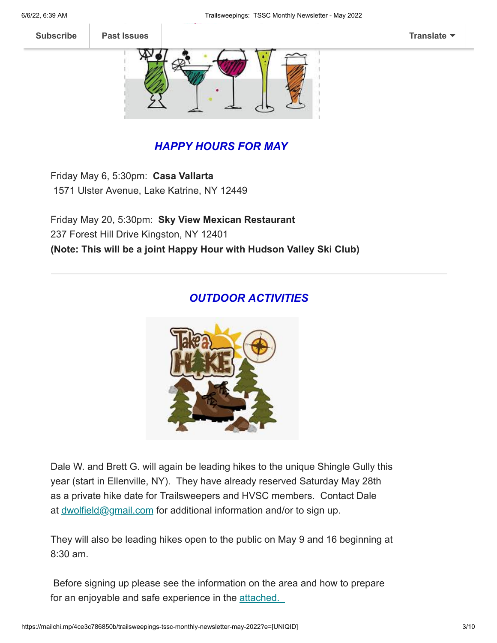

## *HAPPY HOURS FOR MAY*

Friday May 6, 5:30pm: **Casa Vallarta** 1571 Ulster Avenue, Lake Katrine, NY 12449

Friday May 20, 5:30pm: **Sky View Mexican Restaurant** 237 Forest Hill Drive Kingston, NY 12401 **(Note: This will be a joint Happy Hour with Hudson Valley Ski Club)**

### *OUTDOOR ACTIVITIES*



Dale W. and Brett G. will again be leading hikes to the unique Shingle Gully this year (start in Ellenville, NY). They have already reserved Saturday May 28th as a private hike date for Trailsweepers and HVSC members. Contact Dale at [dwolfield@gmail.com](mailto:dwolfield@gmail.com) for additional information and/or to sign up.

They will also be leading hikes open to the public on May 9 and 16 beginning at 8:30 am.

Before signing up please see the information on the area and how to prepare for an enjoyable and safe experience in the [attached.](https://mcusercontent.com/12dc0f31cf0de42e0801b3e21/files/b29aaef0-eaa6-7e46-5ac9-5bf74b3deaca/SHINGLE_HIKE_INFO_2022_1_.pdf)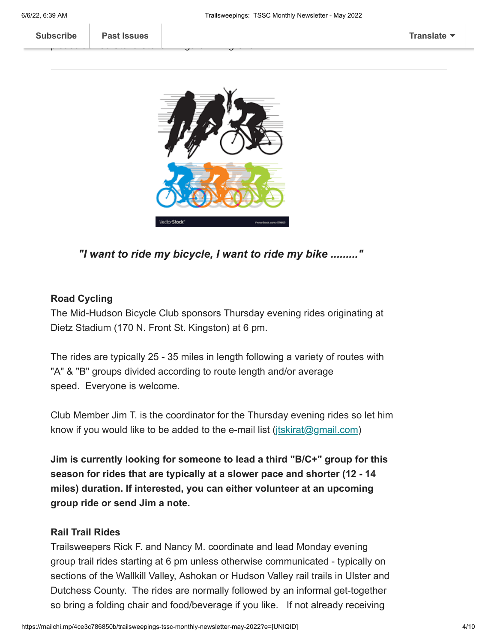**Subscribe Past Issues [Translate](javascript:;)**

 $\mathsf{R}$ 

please advise Steve Steve Wingard Hiking Chair.



*"I want to ride my bicycle, I want to ride my bike ........."*

#### **Road Cycling**

The Mid-Hudson Bicycle Club sponsors Thursday evening rides originating at Dietz Stadium (170 N. Front St. Kingston) at 6 pm.

The rides are typically 25 - 35 miles in length following a variety of routes with "A" & "B" groups divided according to route length and/or average speed. Everyone is welcome.

Club Member Jim T. is the coordinator for the Thursday evening rides so let him know if you would like to be added to the e-mail list ([jtskirat@gmail.com\)](mailto:jtskirat@gmail.com)

**Jim is currently looking for someone to lead a third "B/C+" group for this season for rides that are typically at a slower pace and shorter (12 - 14 miles) duration. If interested, you can either volunteer at an upcoming group ride or send Jim a note.**

#### **Rail Trail Rides**

Trailsweepers Rick F. and Nancy M. coordinate and lead Monday evening group trail rides starting at 6 pm unless otherwise communicated - typically on sections of the Wallkill Valley, Ashokan or Hudson Valley rail trails in Ulster and Dutchess County. The rides are normally followed by an informal get-together so bring a folding chair and food/beverage if you like. If not already receiving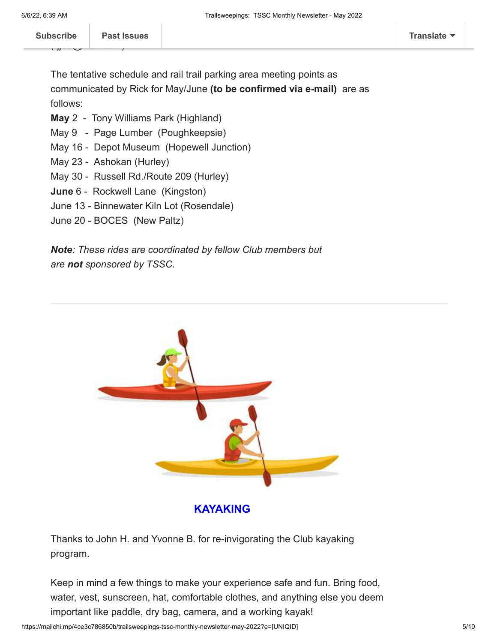The tentative schedule and rail trail parking area meeting points as communicated by Rick for May/June **(to be confirmed via e-mail)** are as follows:

- **May** 2 Tony Williams Park (Highland)
- May 9 Page Lumber (Poughkeepsie)
- May 16 Depot Museum (Hopewell Junction)
- May 23 Ashokan (Hurley)
- May 30 Russell Rd./Route 209 (Hurley)
- **June** 6 Rockwell Lane (Kingston)
- June 13 Binnewater Kiln Lot (Rosendale)
- June 20 BOCES (New Paltz)

*Note: These rides are coordinated by fellow Club members but are not sponsored by TSSC.*



**KAYAKING**

Thanks to John H. and Yvonne B. for re-invigorating the Club kayaking program.

Keep in mind a few things to make your experience safe and fun. Bring food, water, vest, sunscreen, hat, comfortable clothes, and anything else you deem important like paddle, dry bag, camera, and a working kayak!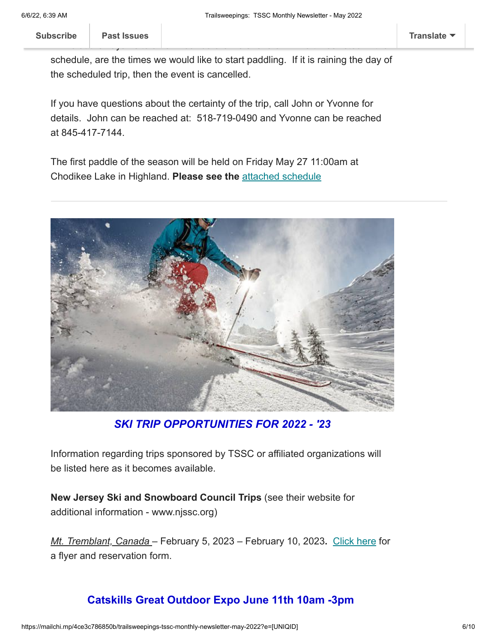**[Subscribe](http://eepurl.com/hCJCor) Past Issues [Translate](javascript:;)**

schedule, are the times we would like to start paddling. If it is raining the day of the scheduled trip, then the event is cancelled.

If you have questions about the certainty of the trip, call John or Yvonne for details. John can be reached at: 518-719-0490 and Yvonne can be reached at 845-417-7144.

The first paddle of the season will be held on Friday May 27 11:00am at Chodikee Lake in Highland. **Please see the** [attached schedule](https://mcusercontent.com/12dc0f31cf0de42e0801b3e21/files/f983ce69-7f8c-febd-7c7e-c5e0894f2769/TSSC_2022_kayak_schedule_1_.pdf)



*SKI TRIP OPPORTUNITIES FOR 2022 - '23*

Information regarding trips sponsored by TSSC or affiliated organizations will be listed here as it becomes available.

**New Jersey Ski and Snowboard Council Trips** (see their website for additional information - www.njssc.org)

*Mt. Tremblant, Canada* – February 5, 2023 – February 10, 2023**.** [Click here](http://www.njssc.org/wp-content/uploads/NJSSC-Mt-Tremblant-2023.pdf) for a flyer and reservation form.

## **Catskills Great Outdoor Expo June 11th 10am -3pm**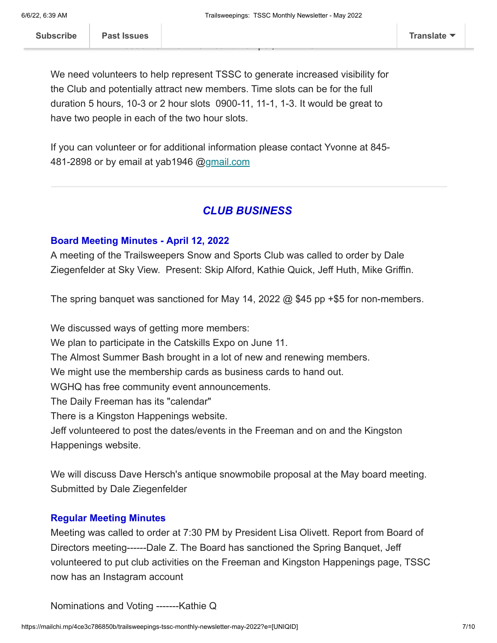We need volunteers to help represent TSSC to generate increased visibility for the Club and potentially attract new members. Time slots can be for the full duration 5 hours, 10-3 or 2 hour slots 0900-11, 11-1, 1-3. It would be great to have two people in each of the two hour slots.

If you can volunteer or for additional information please contact Yvonne at 845- 481-2898 or by email at yab1946 [@gmail.com](https://nam12.safelinks.protection.outlook.com/?url=http%3A%2F%2Fgmail.com%2F&data=04%7C01%7C%7C89428f4396cd45614e7d08da1faecde0%7C84df9e7fe9f640afb435aaaaaaaaaaaa%7C1%7C0%7C637857132882845855%7CUnknown%7CTWFpbGZsb3d8eyJWIjoiMC4wLjAwMDAiLCJQIjoiV2luMzIiLCJBTiI6Ik1haWwiLCJXVCI6Mn0%3D%7C3000&sdata=%2F4vYN9wzrsEf61MhRVGsXYpBk0EmDoM1hA4mpMzdj%2Bs%3D&reserved=0)

#### *CLUB BUSINESS*

#### **Board Meeting Minutes - April 12, 2022**

A meeting of the Trailsweepers Snow and Sports Club was called to order by Dale Ziegenfelder at Sky View. Present: Skip Alford, Kathie Quick, Jeff Huth, Mike Griffin.

The spring banquet was sanctioned for May 14, 2022  $@$  \$45 pp +\$5 for non-members.

We discussed ways of getting more members: We plan to participate in the Catskills Expo on June 11. The Almost Summer Bash brought in a lot of new and renewing members. We might use the membership cards as business cards to hand out. WGHQ has free community event announcements. The Daily Freeman has its "calendar" There is a Kingston Happenings website. Jeff volunteered to post the dates/events in the Freeman and on and the Kingston Happenings website.

We will discuss Dave Hersch's antique snowmobile proposal at the May board meeting. Submitted by Dale Ziegenfelder

#### **Regular Meeting Minutes**

Meeting was called to order at 7:30 PM by President Lisa Olivett. Report from Board of Directors meeting------Dale Z. The Board has sanctioned the Spring Banquet, Jeff volunteered to put club activities on the Freeman and Kingston Happenings page, TSSC now has an Instagram account

Nominations and Voting -------Kathie Q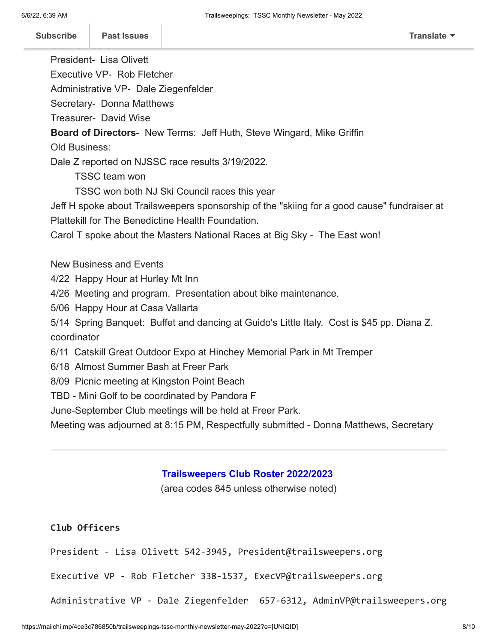President- Lisa Olivett

Executive VP- Rob Fletcher

Administrative VP- Dale Ziegenfelder

Secretary- Donna Matthews

Treasurer- David Wise

**Board of Directors**- New Terms: Jeff Huth, Steve Wingard, Mike Griffin

Old Business:

Dale Z reported on NJSSC race results 3/19/2022.

TSSC team won

TSSC won both NJ Ski Council races this year

Jeff H spoke about Trailsweepers sponsorship of the "skiing for a good cause" fundraiser at Plattekill for The Benedictine Health Foundation.

Carol T spoke about the Masters National Races at Big Sky - The East won!

New Business and Events

4/22 Happy Hour at Hurley Mt Inn

4/26 Meeting and program. Presentation about bike maintenance.

5/06 Happy Hour at Casa Vallarta

5/14 Spring Banquet: Buffet and dancing at Guido's Little Italy. Cost is \$45 pp. Diana Z. coordinator

6/11 Catskill Great Outdoor Expo at Hinchey Memorial Park in Mt Tremper

6/18 Almost Summer Bash at Freer Park

8/09 Picnic meeting at Kingston Point Beach

TBD - Mini Golf to be coordinated by Pandora F

June-September Club meetings will be held at Freer Park.

Meeting was adjourned at 8:15 PM, Respectfully submitted - Donna Matthews, Secretary

#### **Trailsweepers Club Roster 2022/2023**

(area codes 845 unless otherwise noted)

#### **Club Officers**

President - Lisa Olivett 542-3945, President@trailsweepers.org

Executive VP - Rob Fletcher 338-1537, ExecVP@trailsweepers.org

Administrative VP - Dale Ziegenfelder 657-6312, AdminVP@trailsweepers.org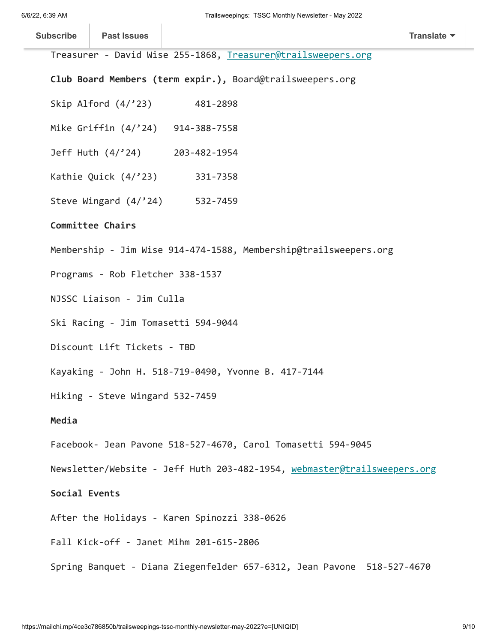$\sim$ 

| <b>Subscribe</b>                                                                | <b>Past Issues</b>                                              |                                              | <b>Translate</b> |  |
|---------------------------------------------------------------------------------|-----------------------------------------------------------------|----------------------------------------------|------------------|--|
| Treasurer - David Wise 255-1868, Treasurer@trailsweepers.org                    |                                                                 |                                              |                  |  |
| Club Board Members (term expir.), Board@trailsweepers.org                       |                                                                 |                                              |                  |  |
|                                                                                 |                                                                 | Skip Alford (4/'23) 481-2898                 |                  |  |
| Mike Griffin (4/'24) 914-388-7558                                               |                                                                 |                                              |                  |  |
|                                                                                 | Jeff Huth (4/'24) 203-482-1954<br>Kathie Quick (4/'23) 331-7358 |                                              |                  |  |
|                                                                                 |                                                                 |                                              |                  |  |
|                                                                                 |                                                                 | Steve Wingard (4/'24) 532-7459               |                  |  |
| Committee Chairs                                                                |                                                                 |                                              |                  |  |
| Membership - Jim Wise 914-474-1588, Membership@trailsweepers.org                |                                                                 |                                              |                  |  |
| Programs - Rob Fletcher 338-1537                                                |                                                                 |                                              |                  |  |
| NJSSC Liaison - Jim Culla                                                       |                                                                 |                                              |                  |  |
| Ski Racing - Jim Tomasetti 594-9044                                             |                                                                 |                                              |                  |  |
| Discount Lift Tickets - TBD                                                     |                                                                 |                                              |                  |  |
| Kayaking - John H. 518-719-0490, Yvonne B. 417-7144                             |                                                                 |                                              |                  |  |
| Hiking - Steve Wingard 532-7459                                                 |                                                                 |                                              |                  |  |
| Media                                                                           |                                                                 |                                              |                  |  |
| Facebook- Jean Pavone 518-527-4670, Carol Tomasetti 594-9045                    |                                                                 |                                              |                  |  |
| Newsletter/Website - Jeff Huth 203-482-1954, <u>webmaster@trailsweepers.org</u> |                                                                 |                                              |                  |  |
| Social Events                                                                   |                                                                 |                                              |                  |  |
|                                                                                 |                                                                 | After the Holidays - Karen Spinozzi 338-0626 |                  |  |
| Fall Kick-off - Janet Mihm 201-615-2806                                         |                                                                 |                                              |                  |  |
| Spring Banquet - Diana Ziegenfelder 657-6312, Jean Pavone 518-527-4670          |                                                                 |                                              |                  |  |